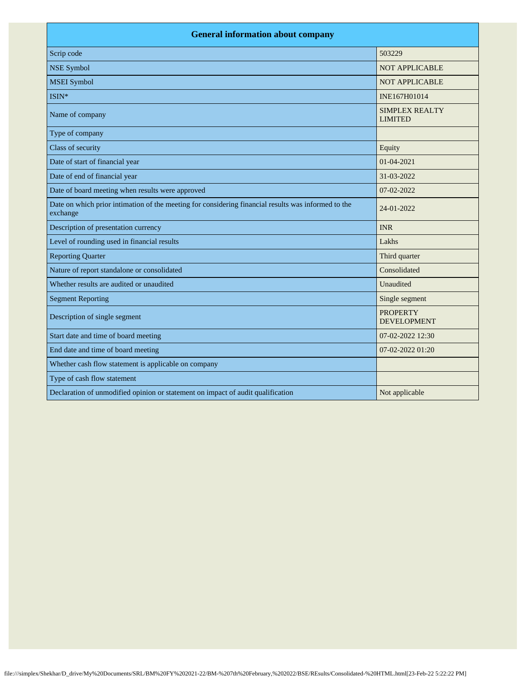| <b>General information about company</b>                                                                        |                                         |  |
|-----------------------------------------------------------------------------------------------------------------|-----------------------------------------|--|
| Scrip code                                                                                                      | 503229                                  |  |
| <b>NSE Symbol</b>                                                                                               | <b>NOT APPLICABLE</b>                   |  |
| <b>MSEI</b> Symbol                                                                                              | <b>NOT APPLICABLE</b>                   |  |
| ISIN*                                                                                                           | INE167H01014                            |  |
| Name of company                                                                                                 | <b>SIMPLEX REALTY</b><br><b>LIMITED</b> |  |
| Type of company                                                                                                 |                                         |  |
| Class of security                                                                                               | Equity                                  |  |
| Date of start of financial year                                                                                 | 01-04-2021                              |  |
| Date of end of financial year                                                                                   | 31-03-2022                              |  |
| Date of board meeting when results were approved                                                                | 07-02-2022                              |  |
| Date on which prior intimation of the meeting for considering financial results was informed to the<br>exchange | 24-01-2022                              |  |
| Description of presentation currency                                                                            | <b>INR</b>                              |  |
| Level of rounding used in financial results                                                                     | Lakhs                                   |  |
| <b>Reporting Quarter</b>                                                                                        | Third quarter                           |  |
| Nature of report standalone or consolidated                                                                     | Consolidated                            |  |
| Whether results are audited or unaudited                                                                        | Unaudited                               |  |
| <b>Segment Reporting</b>                                                                                        | Single segment                          |  |
| Description of single segment                                                                                   | <b>PROPERTY</b><br><b>DEVELOPMENT</b>   |  |
| Start date and time of board meeting                                                                            | 07-02-2022 12:30                        |  |
| End date and time of board meeting                                                                              | 07-02-2022 01:20                        |  |
| Whether cash flow statement is applicable on company                                                            |                                         |  |
| Type of cash flow statement                                                                                     |                                         |  |
| Declaration of unmodified opinion or statement on impact of audit qualification                                 | Not applicable                          |  |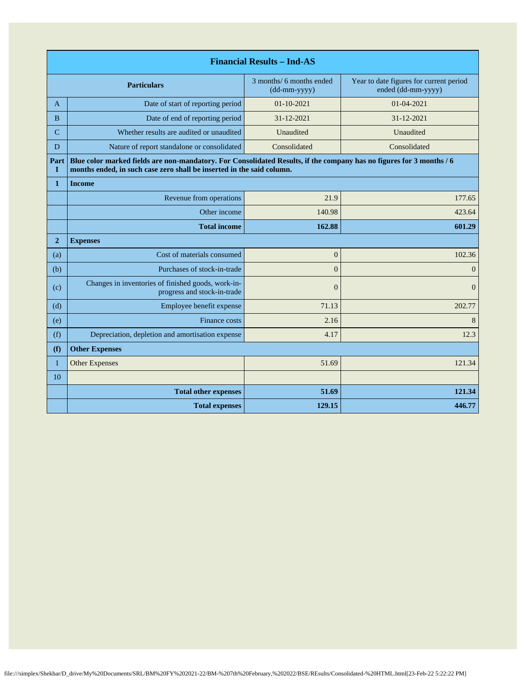| <b>Financial Results - Ind-AS</b> |                                                                                                                                                                                               |                                          |                                                               |
|-----------------------------------|-----------------------------------------------------------------------------------------------------------------------------------------------------------------------------------------------|------------------------------------------|---------------------------------------------------------------|
|                                   | <b>Particulars</b>                                                                                                                                                                            | 3 months/ 6 months ended<br>(dd-mm-yyyy) | Year to date figures for current period<br>ended (dd-mm-yyyy) |
| A                                 | Date of start of reporting period                                                                                                                                                             | $01 - 10 - 2021$                         | 01-04-2021                                                    |
| <sub>B</sub>                      | Date of end of reporting period                                                                                                                                                               | 31-12-2021                               | 31-12-2021                                                    |
| $\overline{C}$                    | Whether results are audited or unaudited                                                                                                                                                      | Unaudited                                | Unaudited                                                     |
| D                                 | Nature of report standalone or consolidated                                                                                                                                                   | Consolidated                             | Consolidated                                                  |
| Part<br>L                         | Blue color marked fields are non-mandatory. For Consolidated Results, if the company has no figures for 3 months / 6<br>months ended, in such case zero shall be inserted in the said column. |                                          |                                                               |
| $\mathbf{1}$                      | <b>Income</b>                                                                                                                                                                                 |                                          |                                                               |
|                                   | Revenue from operations                                                                                                                                                                       | 21.9                                     | 177.65                                                        |
|                                   | Other income                                                                                                                                                                                  | 140.98                                   | 423.64                                                        |
|                                   | <b>Total income</b>                                                                                                                                                                           | 162.88                                   | 601.29                                                        |
| $\overline{2}$                    | <b>Expenses</b>                                                                                                                                                                               |                                          |                                                               |
| (a)                               | Cost of materials consumed                                                                                                                                                                    | $\mathbf{0}$                             | 102.36                                                        |
| (b)                               | Purchases of stock-in-trade                                                                                                                                                                   | $\Omega$                                 | $\mathbf{0}$                                                  |
| (c)                               | Changes in inventories of finished goods, work-in-<br>progress and stock-in-trade                                                                                                             | $\overline{0}$                           | $\overline{0}$                                                |
| (d)                               | Employee benefit expense                                                                                                                                                                      | 71.13                                    | 202.77                                                        |
| (e)                               | Finance costs                                                                                                                                                                                 | 2.16                                     | 8                                                             |
| (f)                               | Depreciation, depletion and amortisation expense                                                                                                                                              | 4.17                                     | 12.3                                                          |
| (f)                               | <b>Other Expenses</b>                                                                                                                                                                         |                                          |                                                               |
| $\mathbf{1}$                      | <b>Other Expenses</b>                                                                                                                                                                         | 51.69                                    | 121.34                                                        |
| 10                                |                                                                                                                                                                                               |                                          |                                                               |
|                                   | <b>Total other expenses</b>                                                                                                                                                                   | 51.69                                    | 121.34                                                        |
|                                   | <b>Total expenses</b>                                                                                                                                                                         | 129.15                                   | 446.77                                                        |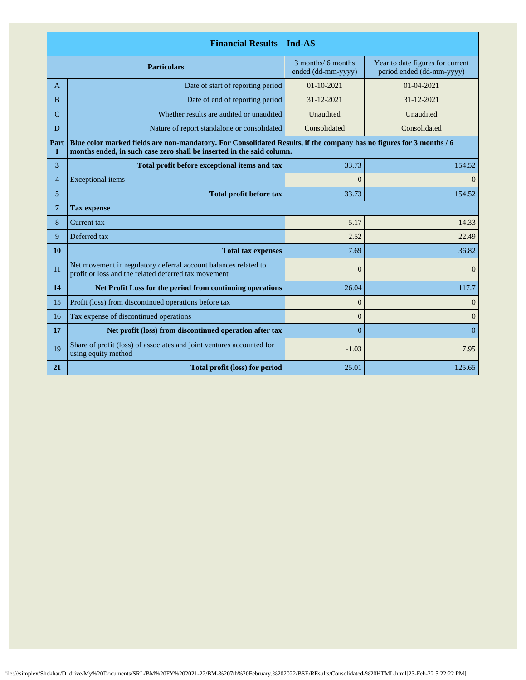| <b>Financial Results - Ind-AS</b> |                                                                                                                                                                                               |                                          |                                                               |  |
|-----------------------------------|-----------------------------------------------------------------------------------------------------------------------------------------------------------------------------------------------|------------------------------------------|---------------------------------------------------------------|--|
|                                   | <b>Particulars</b>                                                                                                                                                                            | 3 months/ 6 months<br>ended (dd-mm-yyyy) | Year to date figures for current<br>period ended (dd-mm-yyyy) |  |
| A                                 | Date of start of reporting period                                                                                                                                                             | $01 - 10 - 2021$                         | $01 - 04 - 2021$                                              |  |
| <sub>B</sub>                      | Date of end of reporting period                                                                                                                                                               | 31-12-2021                               | $31 - 12 - 2021$                                              |  |
| $\mathcal{C}$                     | Whether results are audited or unaudited                                                                                                                                                      | Unaudited                                | Unaudited                                                     |  |
| D                                 | Nature of report standalone or consolidated                                                                                                                                                   | Consolidated                             | Consolidated                                                  |  |
| Part<br>п                         | Blue color marked fields are non-mandatory. For Consolidated Results, if the company has no figures for 3 months / 6<br>months ended, in such case zero shall be inserted in the said column. |                                          |                                                               |  |
| 3                                 | Total profit before exceptional items and tax                                                                                                                                                 | 33.73                                    | 154.52                                                        |  |
| $\overline{4}$                    | <b>Exceptional</b> items                                                                                                                                                                      | $\overline{0}$                           | $\overline{0}$                                                |  |
| 5                                 | <b>Total profit before tax</b>                                                                                                                                                                | 33.73                                    | 154.52                                                        |  |
| 7                                 | <b>Tax expense</b>                                                                                                                                                                            |                                          |                                                               |  |
| 8                                 | Current tax                                                                                                                                                                                   | 5.17                                     | 14.33                                                         |  |
| 9                                 | Deferred tax                                                                                                                                                                                  | 2.52                                     | 22.49                                                         |  |
| 10                                | <b>Total tax expenses</b>                                                                                                                                                                     | 7.69                                     | 36.82                                                         |  |
| 11                                | Net movement in regulatory deferral account balances related to<br>profit or loss and the related deferred tax movement                                                                       | $\boldsymbol{0}$                         | $\overline{0}$                                                |  |
| 14                                | Net Profit Loss for the period from continuing operations                                                                                                                                     | 26.04                                    | 117.7                                                         |  |
| 15                                | Profit (loss) from discontinued operations before tax                                                                                                                                         | $\overline{0}$                           | $\overline{0}$                                                |  |
| 16                                | Tax expense of discontinued operations                                                                                                                                                        | $\theta$                                 | $\overline{0}$                                                |  |
| 17                                | Net profit (loss) from discontinued operation after tax                                                                                                                                       | $\Omega$                                 | $\Omega$                                                      |  |
| 19                                | Share of profit (loss) of associates and joint ventures accounted for<br>using equity method                                                                                                  | $-1.03$                                  | 7.95                                                          |  |
| 21                                | Total profit (loss) for period                                                                                                                                                                | 25.01                                    | 125.65                                                        |  |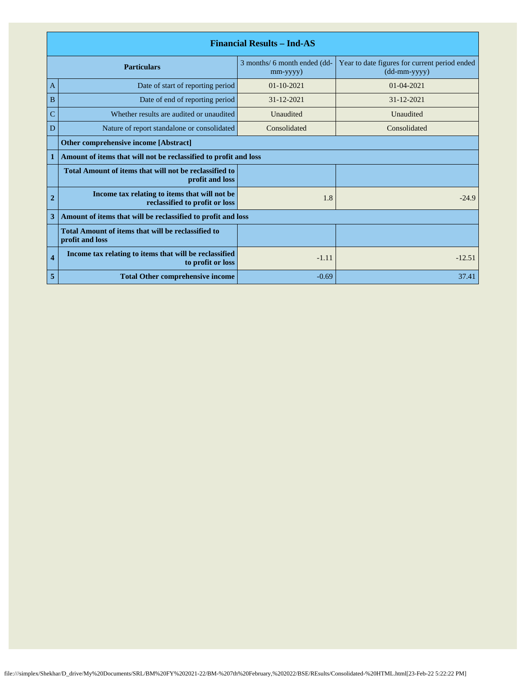| <b>Financial Results - Ind-AS</b> |                                                                                 |                                                |                                                               |
|-----------------------------------|---------------------------------------------------------------------------------|------------------------------------------------|---------------------------------------------------------------|
|                                   | <b>Particulars</b>                                                              | 3 months/ 6 month ended (dd-<br>$mm$ -yyyy $)$ | Year to date figures for current period ended<br>(dd-mm-yyyy) |
| A                                 | Date of start of reporting period                                               | $01 - 10 - 2021$                               | 01-04-2021                                                    |
| B                                 | Date of end of reporting period                                                 | $31 - 12 - 2021$                               | $31 - 12 - 2021$                                              |
| C                                 | Whether results are audited or unaudited                                        | Unaudited                                      | Unaudited                                                     |
| D                                 | Nature of report standalone or consolidated                                     | Consolidated                                   | Consolidated                                                  |
|                                   | <b>Other comprehensive income [Abstract]</b>                                    |                                                |                                                               |
|                                   | Amount of items that will not be reclassified to profit and loss                |                                                |                                                               |
|                                   | Total Amount of items that will not be reclassified to<br>profit and loss       |                                                |                                                               |
| $\overline{2}$                    | Income tax relating to items that will not be<br>reclassified to profit or loss | 1.8                                            | $-24.9$                                                       |
| 3                                 | Amount of items that will be reclassified to profit and loss                    |                                                |                                                               |
|                                   | Total Amount of items that will be reclassified to<br>profit and loss           |                                                |                                                               |
| $\overline{\mathbf{4}}$           | Income tax relating to items that will be reclassified<br>to profit or loss     | $-1.11$                                        | $-12.51$                                                      |
| 5                                 | <b>Total Other comprehensive income</b>                                         | $-0.69$                                        | 37.41                                                         |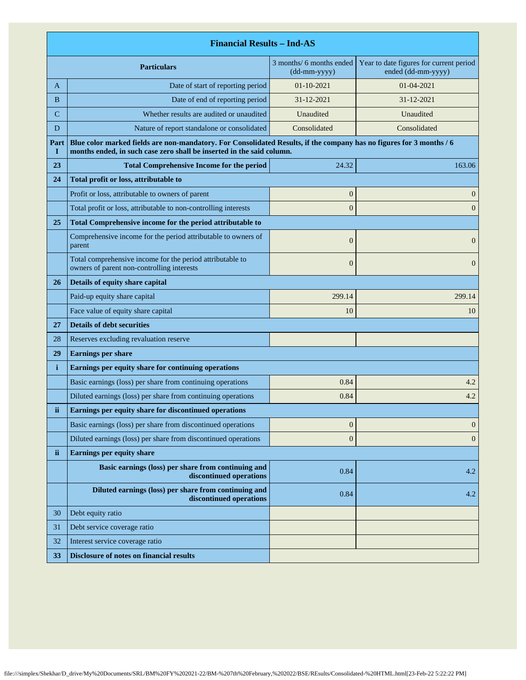|              | <b>Financial Results - Ind-AS</b>                                                                                                                                                             |                                          |                                                               |  |
|--------------|-----------------------------------------------------------------------------------------------------------------------------------------------------------------------------------------------|------------------------------------------|---------------------------------------------------------------|--|
|              | <b>Particulars</b>                                                                                                                                                                            | 3 months/ 6 months ended<br>(dd-mm-yyyy) | Year to date figures for current period<br>ended (dd-mm-yyyy) |  |
| A            | Date of start of reporting period                                                                                                                                                             | $01 - 10 - 2021$                         | 01-04-2021                                                    |  |
| B            | Date of end of reporting period                                                                                                                                                               | 31-12-2021                               | 31-12-2021                                                    |  |
| C            | Whether results are audited or unaudited                                                                                                                                                      | Unaudited                                | Unaudited                                                     |  |
| D            | Nature of report standalone or consolidated                                                                                                                                                   | Consolidated                             | Consolidated                                                  |  |
| Part<br>1    | Blue color marked fields are non-mandatory. For Consolidated Results, if the company has no figures for 3 months / 6<br>months ended, in such case zero shall be inserted in the said column. |                                          |                                                               |  |
| 23           | <b>Total Comprehensive Income for the period</b>                                                                                                                                              | 24.32                                    | 163.06                                                        |  |
| 24           | Total profit or loss, attributable to                                                                                                                                                         |                                          |                                                               |  |
|              | Profit or loss, attributable to owners of parent                                                                                                                                              | $\boldsymbol{0}$                         | $\mathbf{0}$                                                  |  |
|              | Total profit or loss, attributable to non-controlling interests                                                                                                                               | $\overline{0}$                           | $\mathbf{0}$                                                  |  |
| 25           | Total Comprehensive income for the period attributable to                                                                                                                                     |                                          |                                                               |  |
|              | Comprehensive income for the period attributable to owners of<br>parent                                                                                                                       | $\overline{0}$                           | $\mathbf{0}$                                                  |  |
|              | Total comprehensive income for the period attributable to<br>owners of parent non-controlling interests                                                                                       | $\boldsymbol{0}$                         | $\overline{0}$                                                |  |
| 26           | Details of equity share capital                                                                                                                                                               |                                          |                                                               |  |
|              | Paid-up equity share capital                                                                                                                                                                  | 299.14                                   | 299.14                                                        |  |
|              | Face value of equity share capital                                                                                                                                                            | 10                                       | 10                                                            |  |
| 27           | <b>Details of debt securities</b>                                                                                                                                                             |                                          |                                                               |  |
| 28           | Reserves excluding revaluation reserve                                                                                                                                                        |                                          |                                                               |  |
| 29           | <b>Earnings per share</b>                                                                                                                                                                     |                                          |                                                               |  |
| $\mathbf{i}$ | Earnings per equity share for continuing operations                                                                                                                                           |                                          |                                                               |  |
|              | Basic earnings (loss) per share from continuing operations                                                                                                                                    | 0.84                                     | 4.2                                                           |  |
|              | Diluted earnings (loss) per share from continuing operations                                                                                                                                  | 0.84                                     | 4.2                                                           |  |
| ii           | Earnings per equity share for discontinued operations                                                                                                                                         |                                          |                                                               |  |
|              | Basic earnings (loss) per share from discontinued operations                                                                                                                                  | $\boldsymbol{0}$                         | $\mathbf{0}$                                                  |  |
|              | Diluted earnings (loss) per share from discontinued operations                                                                                                                                | $\boldsymbol{0}$                         | $\mathbf{0}$                                                  |  |
| ii.          | <b>Earnings per equity share</b>                                                                                                                                                              |                                          |                                                               |  |
|              | Basic earnings (loss) per share from continuing and<br>discontinued operations                                                                                                                | 0.84                                     | 4.2                                                           |  |
|              | Diluted earnings (loss) per share from continuing and<br>discontinued operations                                                                                                              | 0.84                                     | 4.2                                                           |  |
| 30           | Debt equity ratio                                                                                                                                                                             |                                          |                                                               |  |
| 31           | Debt service coverage ratio                                                                                                                                                                   |                                          |                                                               |  |
| 32           | Interest service coverage ratio                                                                                                                                                               |                                          |                                                               |  |
| 33           | <b>Disclosure of notes on financial results</b>                                                                                                                                               |                                          |                                                               |  |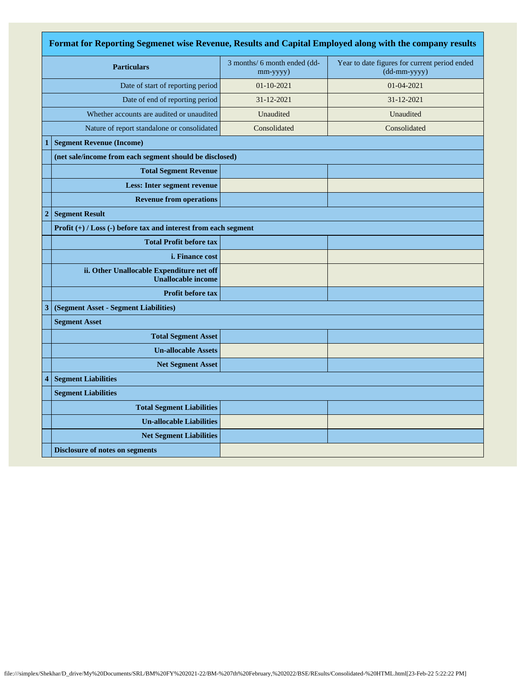| Format for Reporting Segmenet wise Revenue, Results and Capital Employed along with the company results |                                                                        |                                          |                                                               |
|---------------------------------------------------------------------------------------------------------|------------------------------------------------------------------------|------------------------------------------|---------------------------------------------------------------|
| <b>Particulars</b>                                                                                      |                                                                        | 3 months/ 6 month ended (dd-<br>mm-yyyy) | Year to date figures for current period ended<br>(dd-mm-yyyy) |
| Date of start of reporting period                                                                       |                                                                        | 01-10-2021                               | 01-04-2021                                                    |
|                                                                                                         | Date of end of reporting period                                        | 31-12-2021                               | 31-12-2021                                                    |
| Whether accounts are audited or unaudited                                                               |                                                                        | Unaudited                                | Unaudited                                                     |
|                                                                                                         | Nature of report standalone or consolidated                            | Consolidated                             | Consolidated                                                  |
| $\mathbf{1}$                                                                                            | <b>Segment Revenue (Income)</b>                                        |                                          |                                                               |
|                                                                                                         | (net sale/income from each segment should be disclosed)                |                                          |                                                               |
|                                                                                                         | <b>Total Segment Revenue</b>                                           |                                          |                                                               |
|                                                                                                         | <b>Less: Inter segment revenue</b>                                     |                                          |                                                               |
|                                                                                                         | <b>Revenue from operations</b>                                         |                                          |                                                               |
| $\overline{c}$                                                                                          | <b>Segment Result</b>                                                  |                                          |                                                               |
|                                                                                                         | Profit $(+)$ / Loss $(-)$ before tax and interest from each segment    |                                          |                                                               |
|                                                                                                         | <b>Total Profit before tax</b>                                         |                                          |                                                               |
|                                                                                                         | <i>i.</i> Finance cost                                                 |                                          |                                                               |
|                                                                                                         | ii. Other Unallocable Expenditure net off<br><b>Unallocable income</b> |                                          |                                                               |
|                                                                                                         | Profit before tax                                                      |                                          |                                                               |
| 3                                                                                                       | (Segment Asset - Segment Liabilities)                                  |                                          |                                                               |
|                                                                                                         | <b>Segment Asset</b>                                                   |                                          |                                                               |
|                                                                                                         | <b>Total Segment Asset</b>                                             |                                          |                                                               |
|                                                                                                         | <b>Un-allocable Assets</b>                                             |                                          |                                                               |
|                                                                                                         | <b>Net Segment Asset</b>                                               |                                          |                                                               |
| 4                                                                                                       | <b>Segment Liabilities</b>                                             |                                          |                                                               |
|                                                                                                         | <b>Segment Liabilities</b>                                             |                                          |                                                               |
|                                                                                                         | <b>Total Segment Liabilities</b>                                       |                                          |                                                               |
|                                                                                                         | <b>Un-allocable Liabilities</b>                                        |                                          |                                                               |
|                                                                                                         | <b>Net Segment Liabilities</b>                                         |                                          |                                                               |
|                                                                                                         | <b>Disclosure of notes on segments</b>                                 |                                          |                                                               |